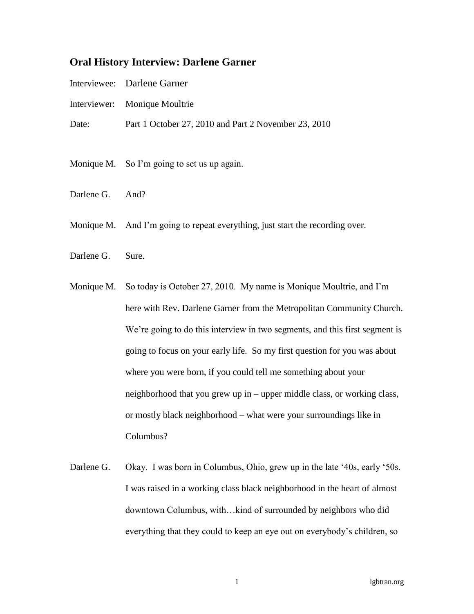## **Oral History Interview: Darlene Garner**

- Interviewee: Darlene Garner
- Interviewer: Monique Moultrie
- Date: Part 1 October 27, 2010 and Part 2 November 23, 2010
- Monique M. So I'm going to set us up again.
- Darlene G. And?
- Monique M. And I'm going to repeat everything, just start the recording over.
- Darlene G. Sure.
- Monique M. So today is October 27, 2010. My name is Monique Moultrie, and I'm here with Rev. Darlene Garner from the Metropolitan Community Church. We're going to do this interview in two segments, and this first segment is going to focus on your early life. So my first question for you was about where you were born, if you could tell me something about your neighborhood that you grew up in – upper middle class, or working class, or mostly black neighborhood – what were your surroundings like in Columbus?
- Darlene G. Okay. I was born in Columbus, Ohio, grew up in the late '40s, early '50s. I was raised in a working class black neighborhood in the heart of almost downtown Columbus, with…kind of surrounded by neighbors who did everything that they could to keep an eye out on everybody's children, so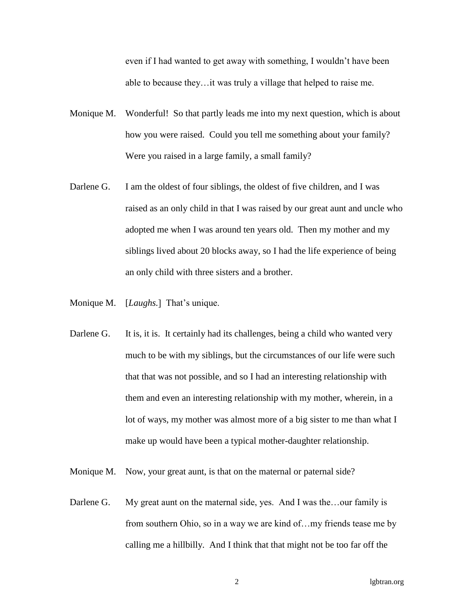even if I had wanted to get away with something, I wouldn't have been able to because they…it was truly a village that helped to raise me.

- Monique M. Wonderful! So that partly leads me into my next question, which is about how you were raised. Could you tell me something about your family? Were you raised in a large family, a small family?
- Darlene G. I am the oldest of four siblings, the oldest of five children, and I was raised as an only child in that I was raised by our great aunt and uncle who adopted me when I was around ten years old. Then my mother and my siblings lived about 20 blocks away, so I had the life experience of being an only child with three sisters and a brother.
- Monique M. [*Laughs.*] That's unique.
- Darlene G. It is, it is. It certainly had its challenges, being a child who wanted very much to be with my siblings, but the circumstances of our life were such that that was not possible, and so I had an interesting relationship with them and even an interesting relationship with my mother, wherein, in a lot of ways, my mother was almost more of a big sister to me than what I make up would have been a typical mother-daughter relationship.
- Monique M. Now, your great aunt, is that on the maternal or paternal side?
- Darlene G. My great aunt on the maternal side, yes. And I was the...our family is from southern Ohio, so in a way we are kind of…my friends tease me by calling me a hillbilly. And I think that that might not be too far off the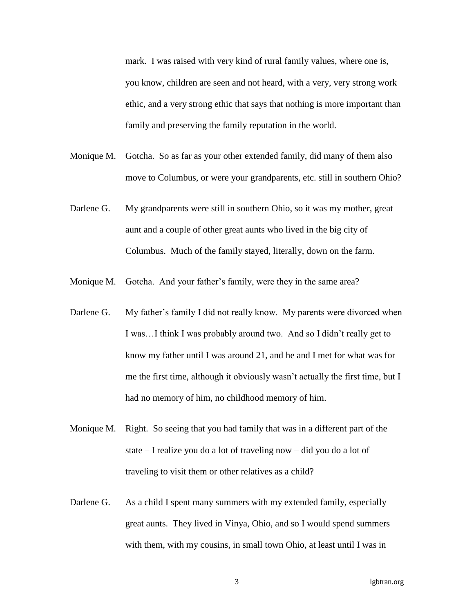mark. I was raised with very kind of rural family values, where one is, you know, children are seen and not heard, with a very, very strong work ethic, and a very strong ethic that says that nothing is more important than family and preserving the family reputation in the world.

- Monique M. Gotcha. So as far as your other extended family, did many of them also move to Columbus, or were your grandparents, etc. still in southern Ohio?
- Darlene G. My grandparents were still in southern Ohio, so it was my mother, great aunt and a couple of other great aunts who lived in the big city of Columbus. Much of the family stayed, literally, down on the farm.
- Monique M. Gotcha. And your father's family, were they in the same area?
- Darlene G. My father's family I did not really know. My parents were divorced when I was…I think I was probably around two. And so I didn't really get to know my father until I was around 21, and he and I met for what was for me the first time, although it obviously wasn't actually the first time, but I had no memory of him, no childhood memory of him.
- Monique M. Right. So seeing that you had family that was in a different part of the state – I realize you do a lot of traveling now – did you do a lot of traveling to visit them or other relatives as a child?
- Darlene G. As a child I spent many summers with my extended family, especially great aunts. They lived in Vinya, Ohio, and so I would spend summers with them, with my cousins, in small town Ohio, at least until I was in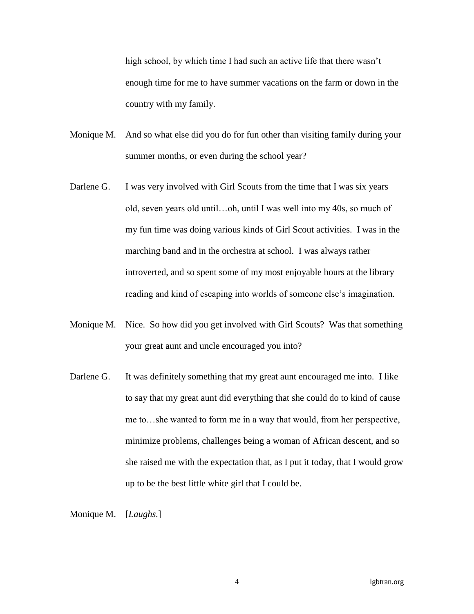high school, by which time I had such an active life that there wasn't enough time for me to have summer vacations on the farm or down in the country with my family.

- Monique M. And so what else did you do for fun other than visiting family during your summer months, or even during the school year?
- Darlene G. I was very involved with Girl Scouts from the time that I was six years old, seven years old until…oh, until I was well into my 40s, so much of my fun time was doing various kinds of Girl Scout activities. I was in the marching band and in the orchestra at school. I was always rather introverted, and so spent some of my most enjoyable hours at the library reading and kind of escaping into worlds of someone else's imagination.
- Monique M. Nice. So how did you get involved with Girl Scouts? Was that something your great aunt and uncle encouraged you into?
- Darlene G. It was definitely something that my great aunt encouraged me into. I like to say that my great aunt did everything that she could do to kind of cause me to…she wanted to form me in a way that would, from her perspective, minimize problems, challenges being a woman of African descent, and so she raised me with the expectation that, as I put it today, that I would grow up to be the best little white girl that I could be.

Monique M. [*Laughs.*]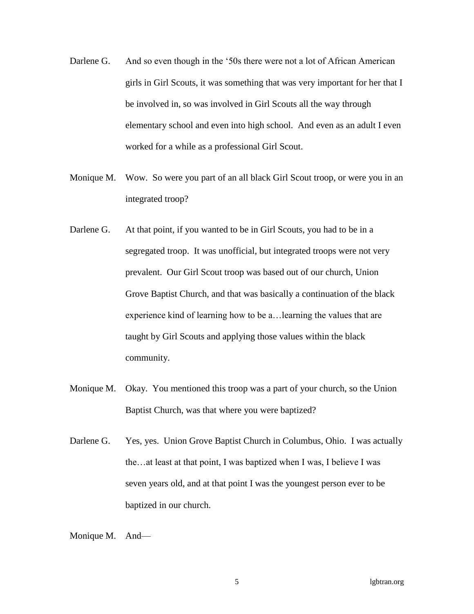- Darlene G. And so even though in the '50s there were not a lot of African American girls in Girl Scouts, it was something that was very important for her that I be involved in, so was involved in Girl Scouts all the way through elementary school and even into high school. And even as an adult I even worked for a while as a professional Girl Scout.
- Monique M. Wow. So were you part of an all black Girl Scout troop, or were you in an integrated troop?
- Darlene G. At that point, if you wanted to be in Girl Scouts, you had to be in a segregated troop. It was unofficial, but integrated troops were not very prevalent. Our Girl Scout troop was based out of our church, Union Grove Baptist Church, and that was basically a continuation of the black experience kind of learning how to be a…learning the values that are taught by Girl Scouts and applying those values within the black community.
- Monique M. Okay. You mentioned this troop was a part of your church, so the Union Baptist Church, was that where you were baptized?
- Darlene G. Yes, yes. Union Grove Baptist Church in Columbus, Ohio. I was actually the…at least at that point, I was baptized when I was, I believe I was seven years old, and at that point I was the youngest person ever to be baptized in our church.

Monique M. And—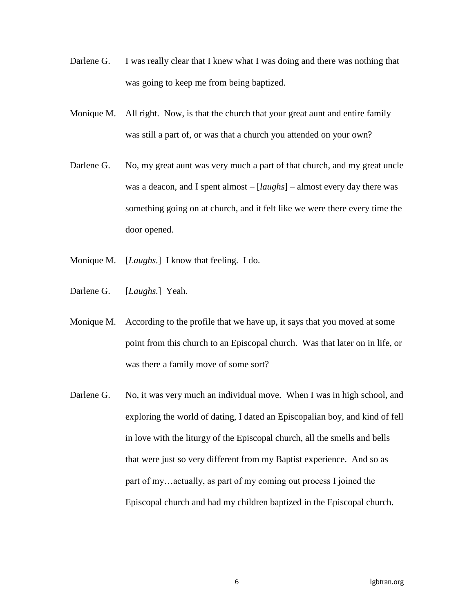- Darlene G. I was really clear that I knew what I was doing and there was nothing that was going to keep me from being baptized.
- Monique M. All right. Now, is that the church that your great aunt and entire family was still a part of, or was that a church you attended on your own?
- Darlene G. No, my great aunt was very much a part of that church, and my great uncle was a deacon, and I spent almost – [*laughs*] – almost every day there was something going on at church, and it felt like we were there every time the door opened.
- Monique M. [*Laughs.*] I know that feeling. I do.
- Darlene G. [*Laughs.*] Yeah.
- Monique M. According to the profile that we have up, it says that you moved at some point from this church to an Episcopal church. Was that later on in life, or was there a family move of some sort?
- Darlene G. No, it was very much an individual move. When I was in high school, and exploring the world of dating, I dated an Episcopalian boy, and kind of fell in love with the liturgy of the Episcopal church, all the smells and bells that were just so very different from my Baptist experience. And so as part of my…actually, as part of my coming out process I joined the Episcopal church and had my children baptized in the Episcopal church.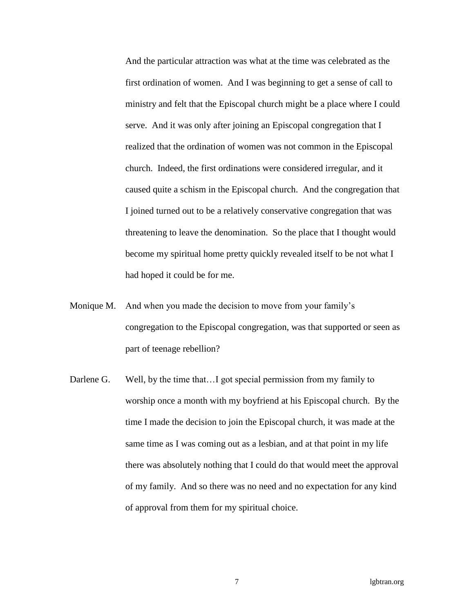And the particular attraction was what at the time was celebrated as the first ordination of women. And I was beginning to get a sense of call to ministry and felt that the Episcopal church might be a place where I could serve. And it was only after joining an Episcopal congregation that I realized that the ordination of women was not common in the Episcopal church. Indeed, the first ordinations were considered irregular, and it caused quite a schism in the Episcopal church. And the congregation that I joined turned out to be a relatively conservative congregation that was threatening to leave the denomination. So the place that I thought would become my spiritual home pretty quickly revealed itself to be not what I had hoped it could be for me.

- Monique M. And when you made the decision to move from your family's congregation to the Episcopal congregation, was that supported or seen as part of teenage rebellion?
- Darlene G. Well, by the time that...I got special permission from my family to worship once a month with my boyfriend at his Episcopal church. By the time I made the decision to join the Episcopal church, it was made at the same time as I was coming out as a lesbian, and at that point in my life there was absolutely nothing that I could do that would meet the approval of my family. And so there was no need and no expectation for any kind of approval from them for my spiritual choice.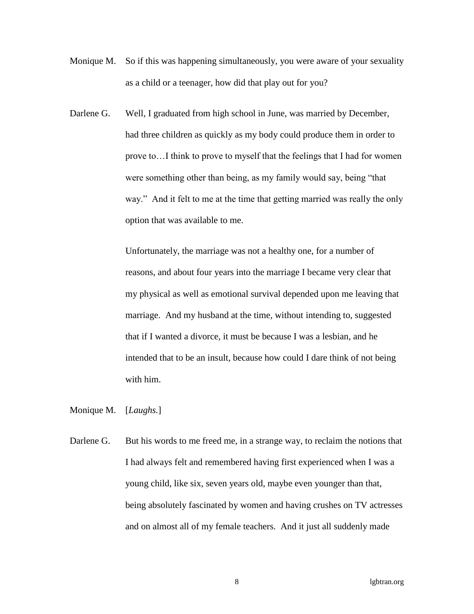- Monique M. So if this was happening simultaneously, you were aware of your sexuality as a child or a teenager, how did that play out for you?
- Darlene G. Well, I graduated from high school in June, was married by December, had three children as quickly as my body could produce them in order to prove to…I think to prove to myself that the feelings that I had for women were something other than being, as my family would say, being "that way." And it felt to me at the time that getting married was really the only option that was available to me.

Unfortunately, the marriage was not a healthy one, for a number of reasons, and about four years into the marriage I became very clear that my physical as well as emotional survival depended upon me leaving that marriage. And my husband at the time, without intending to, suggested that if I wanted a divorce, it must be because I was a lesbian, and he intended that to be an insult, because how could I dare think of not being with him.

Monique M. [*Laughs.*]

Darlene G. But his words to me freed me, in a strange way, to reclaim the notions that I had always felt and remembered having first experienced when I was a young child, like six, seven years old, maybe even younger than that, being absolutely fascinated by women and having crushes on TV actresses and on almost all of my female teachers. And it just all suddenly made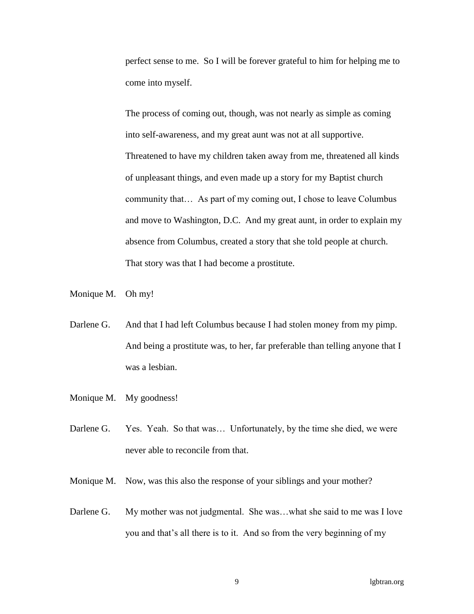perfect sense to me. So I will be forever grateful to him for helping me to come into myself.

The process of coming out, though, was not nearly as simple as coming into self-awareness, and my great aunt was not at all supportive. Threatened to have my children taken away from me, threatened all kinds of unpleasant things, and even made up a story for my Baptist church community that… As part of my coming out, I chose to leave Columbus and move to Washington, D.C. And my great aunt, in order to explain my absence from Columbus, created a story that she told people at church. That story was that I had become a prostitute.

- Monique M. Oh my!
- Darlene G. And that I had left Columbus because I had stolen money from my pimp. And being a prostitute was, to her, far preferable than telling anyone that I was a lesbian.
- Monique M. My goodness!
- Darlene G. Yes. Yeah. So that was... Unfortunately, by the time she died, we were never able to reconcile from that.
- Monique M. Now, was this also the response of your siblings and your mother?
- Darlene G. My mother was not judgmental. She was...what she said to me was I love you and that's all there is to it. And so from the very beginning of my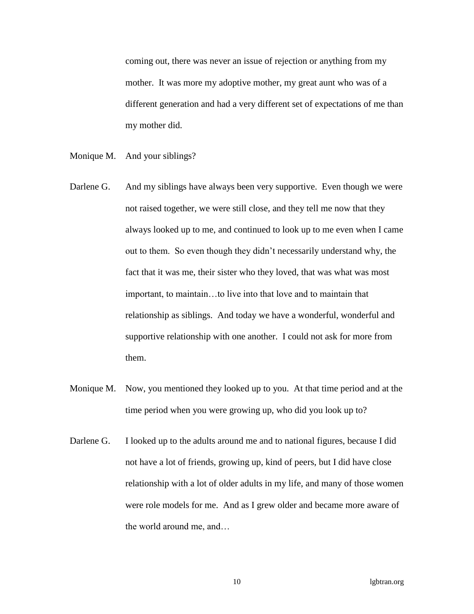coming out, there was never an issue of rejection or anything from my mother. It was more my adoptive mother, my great aunt who was of a different generation and had a very different set of expectations of me than my mother did.

- Monique M. And your siblings?
- Darlene G. And my siblings have always been very supportive. Even though we were not raised together, we were still close, and they tell me now that they always looked up to me, and continued to look up to me even when I came out to them. So even though they didn't necessarily understand why, the fact that it was me, their sister who they loved, that was what was most important, to maintain…to live into that love and to maintain that relationship as siblings. And today we have a wonderful, wonderful and supportive relationship with one another. I could not ask for more from them.
- Monique M. Now, you mentioned they looked up to you. At that time period and at the time period when you were growing up, who did you look up to?
- Darlene G. I looked up to the adults around me and to national figures, because I did not have a lot of friends, growing up, kind of peers, but I did have close relationship with a lot of older adults in my life, and many of those women were role models for me. And as I grew older and became more aware of the world around me, and…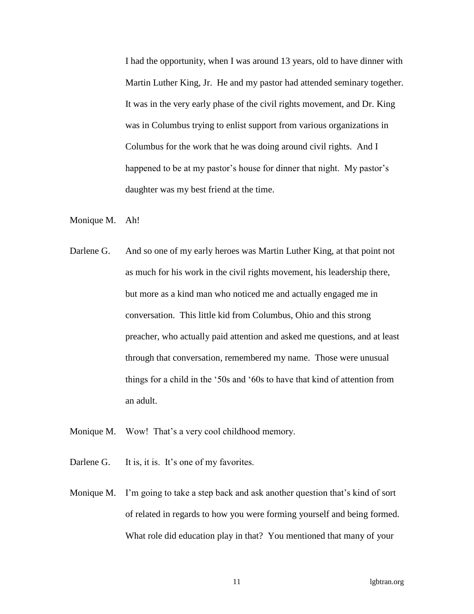I had the opportunity, when I was around 13 years, old to have dinner with Martin Luther King, Jr. He and my pastor had attended seminary together. It was in the very early phase of the civil rights movement, and Dr. King was in Columbus trying to enlist support from various organizations in Columbus for the work that he was doing around civil rights. And I happened to be at my pastor's house for dinner that night. My pastor's daughter was my best friend at the time.

- Monique M. Ah!
- Darlene G. And so one of my early heroes was Martin Luther King, at that point not as much for his work in the civil rights movement, his leadership there, but more as a kind man who noticed me and actually engaged me in conversation. This little kid from Columbus, Ohio and this strong preacher, who actually paid attention and asked me questions, and at least through that conversation, remembered my name. Those were unusual things for a child in the '50s and '60s to have that kind of attention from an adult.
- Monique M. Wow! That's a very cool childhood memory.
- Darlene G. It is, it is. It's one of my favorites.
- Monique M. I'm going to take a step back and ask another question that's kind of sort of related in regards to how you were forming yourself and being formed. What role did education play in that? You mentioned that many of your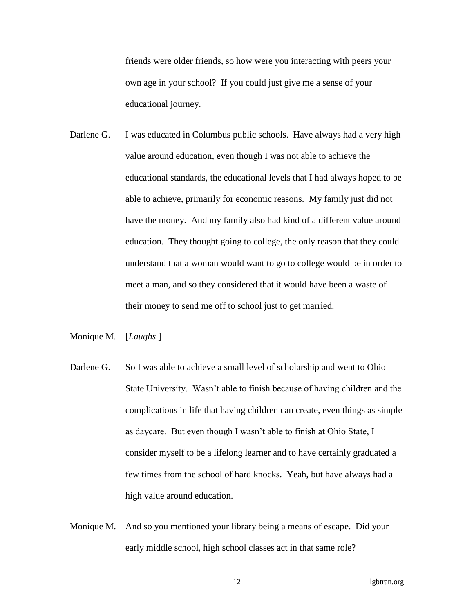friends were older friends, so how were you interacting with peers your own age in your school? If you could just give me a sense of your educational journey.

Darlene G. I was educated in Columbus public schools. Have always had a very high value around education, even though I was not able to achieve the educational standards, the educational levels that I had always hoped to be able to achieve, primarily for economic reasons. My family just did not have the money. And my family also had kind of a different value around education. They thought going to college, the only reason that they could understand that a woman would want to go to college would be in order to meet a man, and so they considered that it would have been a waste of their money to send me off to school just to get married.

Monique M. [*Laughs.*]

- Darlene G. So I was able to achieve a small level of scholarship and went to Ohio State University. Wasn't able to finish because of having children and the complications in life that having children can create, even things as simple as daycare. But even though I wasn't able to finish at Ohio State, I consider myself to be a lifelong learner and to have certainly graduated a few times from the school of hard knocks. Yeah, but have always had a high value around education.
- Monique M. And so you mentioned your library being a means of escape. Did your early middle school, high school classes act in that same role?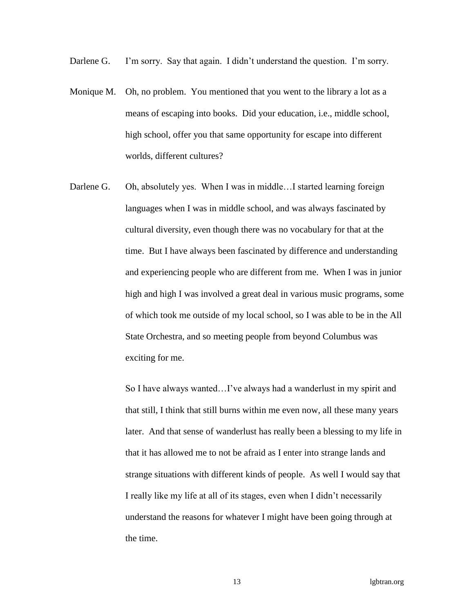Darlene G. I'm sorry. Say that again. I didn't understand the question. I'm sorry.

- Monique M. Oh, no problem. You mentioned that you went to the library a lot as a means of escaping into books. Did your education, i.e., middle school, high school, offer you that same opportunity for escape into different worlds, different cultures?
- Darlene G. Oh, absolutely yes. When I was in middle...I started learning foreign languages when I was in middle school, and was always fascinated by cultural diversity, even though there was no vocabulary for that at the time. But I have always been fascinated by difference and understanding and experiencing people who are different from me. When I was in junior high and high I was involved a great deal in various music programs, some of which took me outside of my local school, so I was able to be in the All State Orchestra, and so meeting people from beyond Columbus was exciting for me.

So I have always wanted…I've always had a wanderlust in my spirit and that still, I think that still burns within me even now, all these many years later. And that sense of wanderlust has really been a blessing to my life in that it has allowed me to not be afraid as I enter into strange lands and strange situations with different kinds of people. As well I would say that I really like my life at all of its stages, even when I didn't necessarily understand the reasons for whatever I might have been going through at the time.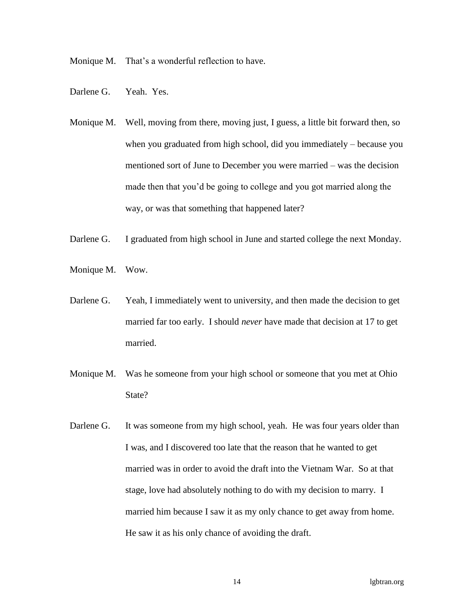Monique M. That's a wonderful reflection to have.

- Darlene G. Yeah. Yes.
- Monique M. Well, moving from there, moving just, I guess, a little bit forward then, so when you graduated from high school, did you immediately – because you mentioned sort of June to December you were married – was the decision made then that you'd be going to college and you got married along the way, or was that something that happened later?
- Darlene G. I graduated from high school in June and started college the next Monday.
- Monique M. Wow.
- Darlene G. Yeah, I immediately went to university, and then made the decision to get married far too early. I should *never* have made that decision at 17 to get married.
- Monique M. Was he someone from your high school or someone that you met at Ohio State?
- Darlene G. It was someone from my high school, yeah. He was four years older than I was, and I discovered too late that the reason that he wanted to get married was in order to avoid the draft into the Vietnam War. So at that stage, love had absolutely nothing to do with my decision to marry. I married him because I saw it as my only chance to get away from home. He saw it as his only chance of avoiding the draft.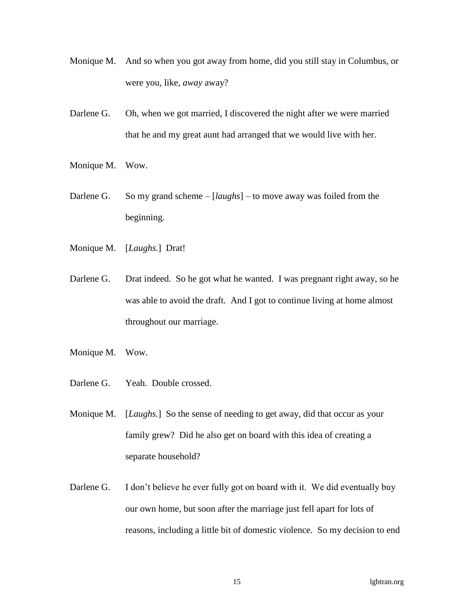- Monique M. And so when you got away from home, did you still stay in Columbus, or were you, like, *away* away?
- Darlene G. Oh, when we got married, I discovered the night after we were married that he and my great aunt had arranged that we would live with her.
- Monique M. Wow.
- Darlene G. So my grand scheme [*laughs*] to move away was foiled from the beginning.
- Monique M. [*Laughs.*] Drat!
- Darlene G. Drat indeed. So he got what he wanted. I was pregnant right away, so he was able to avoid the draft. And I got to continue living at home almost throughout our marriage.
- Monique M. Wow.
- Darlene G. Yeah. Double crossed.
- Monique M. [*Laughs.*] So the sense of needing to get away, did that occur as your family grew? Did he also get on board with this idea of creating a separate household?
- Darlene G. I don't believe he ever fully got on board with it. We did eventually buy our own home, but soon after the marriage just fell apart for lots of reasons, including a little bit of domestic violence. So my decision to end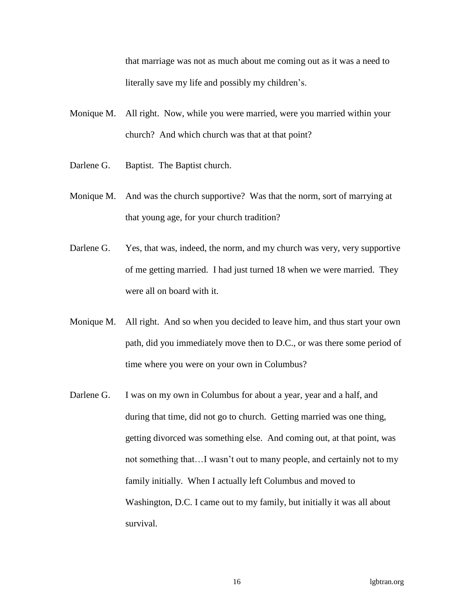that marriage was not as much about me coming out as it was a need to literally save my life and possibly my children's.

- Monique M. All right. Now, while you were married, were you married within your church? And which church was that at that point?
- Darlene G. Baptist. The Baptist church.
- Monique M. And was the church supportive? Was that the norm, sort of marrying at that young age, for your church tradition?
- Darlene G. Yes, that was, indeed, the norm, and my church was very, very supportive of me getting married. I had just turned 18 when we were married. They were all on board with it.
- Monique M. All right. And so when you decided to leave him, and thus start your own path, did you immediately move then to D.C., or was there some period of time where you were on your own in Columbus?
- Darlene G. I was on my own in Columbus for about a year, year and a half, and during that time, did not go to church. Getting married was one thing, getting divorced was something else. And coming out, at that point, was not something that…I wasn't out to many people, and certainly not to my family initially. When I actually left Columbus and moved to Washington, D.C. I came out to my family, but initially it was all about survival.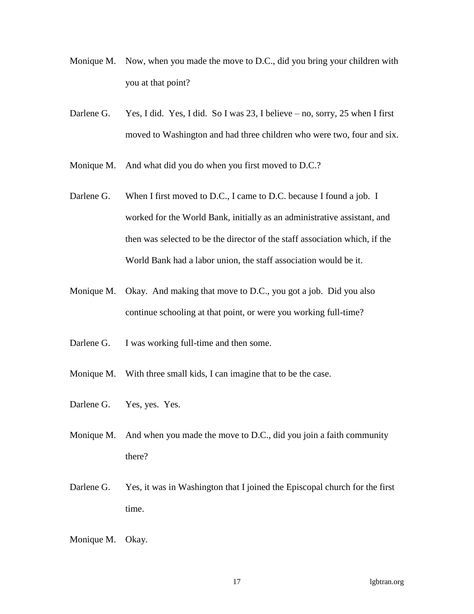- Monique M. Now, when you made the move to D.C., did you bring your children with you at that point?
- Darlene G. Yes, I did. Yes, I did. So I was 23, I believe no, sorry, 25 when I first moved to Washington and had three children who were two, four and six.
- Monique M. And what did you do when you first moved to D.C.?
- Darlene G. When I first moved to D.C., I came to D.C. because I found a job. I worked for the World Bank, initially as an administrative assistant, and then was selected to be the director of the staff association which, if the World Bank had a labor union, the staff association would be it.
- Monique M. Okay. And making that move to D.C., you got a job. Did you also continue schooling at that point, or were you working full-time?
- Darlene G. I was working full-time and then some.
- Monique M. With three small kids, I can imagine that to be the case.
- Darlene G. Yes, yes. Yes.
- Monique M. And when you made the move to D.C., did you join a faith community there?
- Darlene G. Yes, it was in Washington that I joined the Episcopal church for the first time.

Monique M. Okay.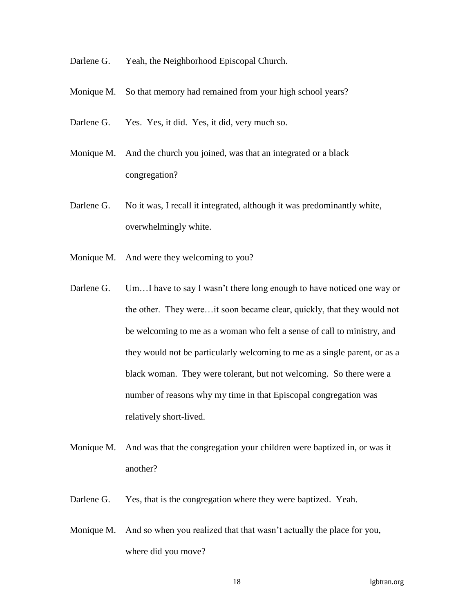- Darlene G. Yeah, the Neighborhood Episcopal Church.
- Monique M. So that memory had remained from your high school years?
- Darlene G. Yes. Yes, it did. Yes, it did, very much so.
- Monique M. And the church you joined, was that an integrated or a black congregation?
- Darlene G. No it was, I recall it integrated, although it was predominantly white, overwhelmingly white.
- Monique M. And were they welcoming to you?
- Darlene G. Um...I have to say I wasn't there long enough to have noticed one way or the other. They were…it soon became clear, quickly, that they would not be welcoming to me as a woman who felt a sense of call to ministry, and they would not be particularly welcoming to me as a single parent, or as a black woman. They were tolerant, but not welcoming. So there were a number of reasons why my time in that Episcopal congregation was relatively short-lived.
- Monique M. And was that the congregation your children were baptized in, or was it another?
- Darlene G. Yes, that is the congregation where they were baptized. Yeah.
- Monique M. And so when you realized that that wasn't actually the place for you, where did you move?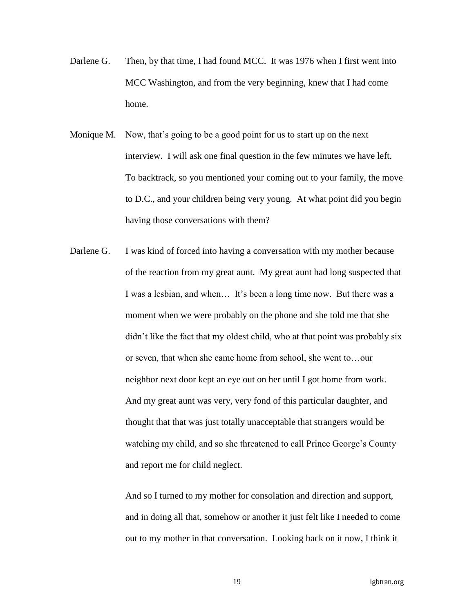- Darlene G. Then, by that time, I had found MCC. It was 1976 when I first went into MCC Washington, and from the very beginning, knew that I had come home.
- Monique M. Now, that's going to be a good point for us to start up on the next interview. I will ask one final question in the few minutes we have left. To backtrack, so you mentioned your coming out to your family, the move to D.C., and your children being very young. At what point did you begin having those conversations with them?
- Darlene G. I was kind of forced into having a conversation with my mother because of the reaction from my great aunt. My great aunt had long suspected that I was a lesbian, and when… It's been a long time now. But there was a moment when we were probably on the phone and she told me that she didn't like the fact that my oldest child, who at that point was probably six or seven, that when she came home from school, she went to…our neighbor next door kept an eye out on her until I got home from work. And my great aunt was very, very fond of this particular daughter, and thought that that was just totally unacceptable that strangers would be watching my child, and so she threatened to call Prince George's County and report me for child neglect.

And so I turned to my mother for consolation and direction and support, and in doing all that, somehow or another it just felt like I needed to come out to my mother in that conversation. Looking back on it now, I think it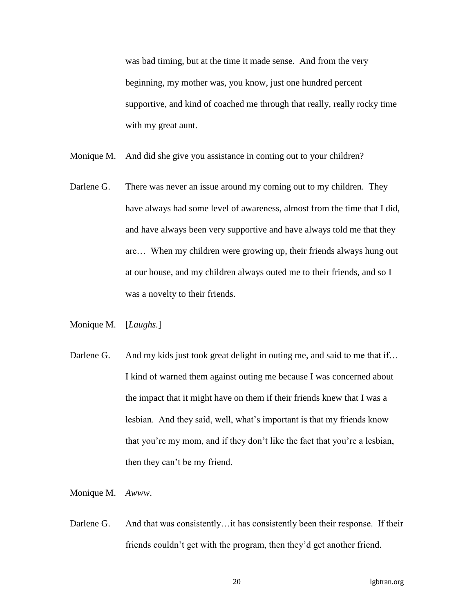was bad timing, but at the time it made sense. And from the very beginning, my mother was, you know, just one hundred percent supportive, and kind of coached me through that really, really rocky time with my great aunt.

- Monique M. And did she give you assistance in coming out to your children?
- Darlene G. There was never an issue around my coming out to my children. They have always had some level of awareness, almost from the time that I did, and have always been very supportive and have always told me that they are… When my children were growing up, their friends always hung out at our house, and my children always outed me to their friends, and so I was a novelty to their friends.
- Monique M. [*Laughs.*]
- Darlene G. And my kids just took great delight in outing me, and said to me that if... I kind of warned them against outing me because I was concerned about the impact that it might have on them if their friends knew that I was a lesbian. And they said, well, what's important is that my friends know that you're my mom, and if they don't like the fact that you're a lesbian, then they can't be my friend.

Monique M. *Awww*.

Darlene G. And that was consistently... it has consistently been their response. If their friends couldn't get with the program, then they'd get another friend.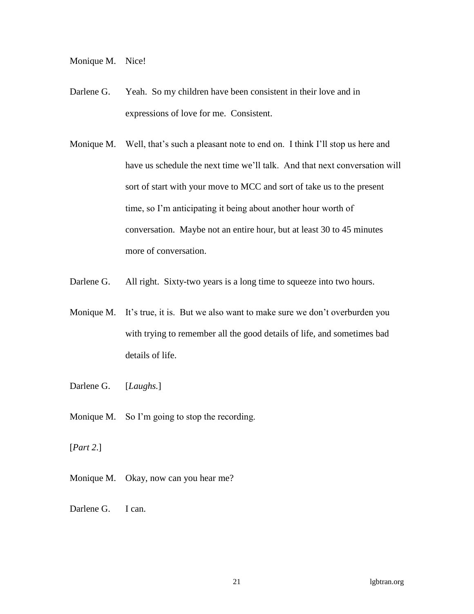Monique M. Nice!

- Darlene G. Yeah. So my children have been consistent in their love and in expressions of love for me. Consistent.
- Monique M. Well, that's such a pleasant note to end on. I think I'll stop us here and have us schedule the next time we'll talk. And that next conversation will sort of start with your move to MCC and sort of take us to the present time, so I'm anticipating it being about another hour worth of conversation. Maybe not an entire hour, but at least 30 to 45 minutes more of conversation.
- Darlene G. All right. Sixty-two years is a long time to squeeze into two hours.
- Monique M. It's true, it is. But we also want to make sure we don't overburden you with trying to remember all the good details of life, and sometimes bad details of life.
- Darlene G. [*Laughs.*]
- Monique M. So I'm going to stop the recording.
- [*Part 2*.]
- Monique M. Okay, now can you hear me?
- Darlene G. I can.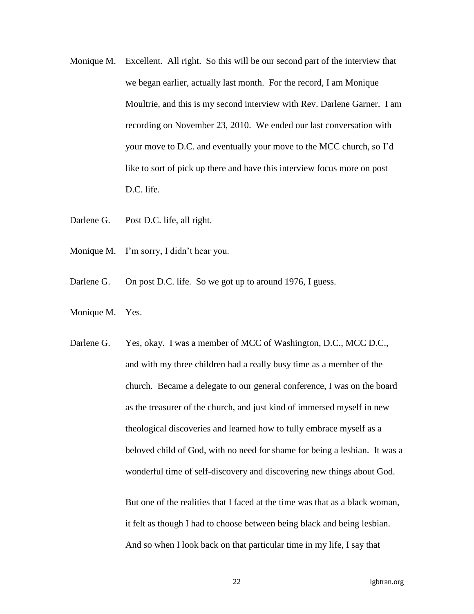- Monique M. Excellent. All right. So this will be our second part of the interview that we began earlier, actually last month. For the record, I am Monique Moultrie, and this is my second interview with Rev. Darlene Garner. I am recording on November 23, 2010. We ended our last conversation with your move to D.C. and eventually your move to the MCC church, so I'd like to sort of pick up there and have this interview focus more on post D.C. life.
- Darlene G. Post D.C. life, all right.
- Monique M. I'm sorry, I didn't hear you.
- Darlene G. On post D.C. life. So we got up to around 1976, I guess.
- Monique M. Yes.
- Darlene G. Yes, okay. I was a member of MCC of Washington, D.C., MCC D.C., and with my three children had a really busy time as a member of the church. Became a delegate to our general conference, I was on the board as the treasurer of the church, and just kind of immersed myself in new theological discoveries and learned how to fully embrace myself as a beloved child of God, with no need for shame for being a lesbian. It was a wonderful time of self-discovery and discovering new things about God.

But one of the realities that I faced at the time was that as a black woman, it felt as though I had to choose between being black and being lesbian. And so when I look back on that particular time in my life, I say that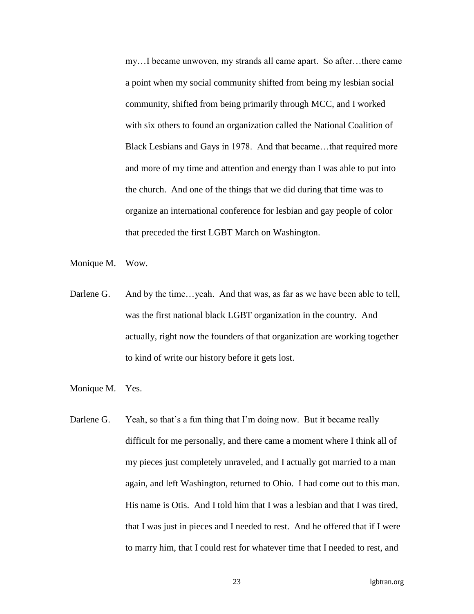my…I became unwoven, my strands all came apart. So after…there came a point when my social community shifted from being my lesbian social community, shifted from being primarily through MCC, and I worked with six others to found an organization called the National Coalition of Black Lesbians and Gays in 1978. And that became…that required more and more of my time and attention and energy than I was able to put into the church. And one of the things that we did during that time was to organize an international conference for lesbian and gay people of color that preceded the first LGBT March on Washington.

- Monique M. Wow.
- Darlene G. And by the time...yeah. And that was, as far as we have been able to tell, was the first national black LGBT organization in the country. And actually, right now the founders of that organization are working together to kind of write our history before it gets lost.
- Monique M. Yes.
- Darlene G. Yeah, so that's a fun thing that I'm doing now. But it became really difficult for me personally, and there came a moment where I think all of my pieces just completely unraveled, and I actually got married to a man again, and left Washington, returned to Ohio. I had come out to this man. His name is Otis. And I told him that I was a lesbian and that I was tired, that I was just in pieces and I needed to rest. And he offered that if I were to marry him, that I could rest for whatever time that I needed to rest, and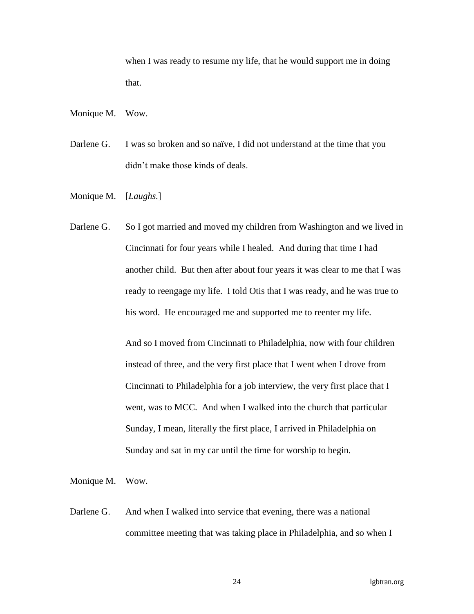when I was ready to resume my life, that he would support me in doing that.

- Monique M. Wow.
- Darlene G. I was so broken and so naïve, I did not understand at the time that you didn't make those kinds of deals.
- Monique M. [*Laughs.*]
- Darlene G. So I got married and moved my children from Washington and we lived in Cincinnati for four years while I healed. And during that time I had another child. But then after about four years it was clear to me that I was ready to reengage my life. I told Otis that I was ready, and he was true to his word. He encouraged me and supported me to reenter my life.

And so I moved from Cincinnati to Philadelphia, now with four children instead of three, and the very first place that I went when I drove from Cincinnati to Philadelphia for a job interview, the very first place that I went, was to MCC. And when I walked into the church that particular Sunday, I mean, literally the first place, I arrived in Philadelphia on Sunday and sat in my car until the time for worship to begin.

Monique M. Wow.

Darlene G. And when I walked into service that evening, there was a national committee meeting that was taking place in Philadelphia, and so when I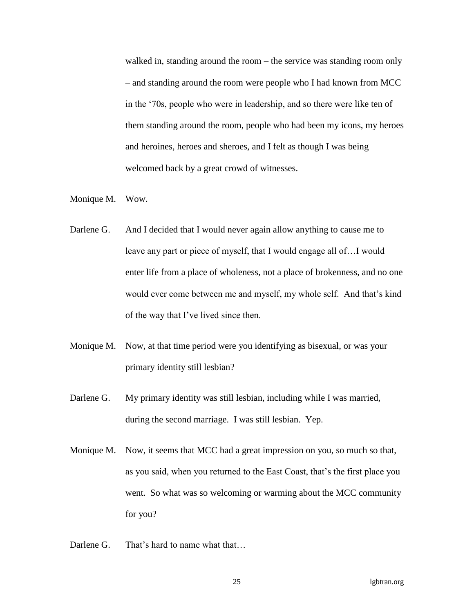walked in, standing around the room – the service was standing room only – and standing around the room were people who I had known from MCC in the '70s, people who were in leadership, and so there were like ten of them standing around the room, people who had been my icons, my heroes and heroines, heroes and sheroes, and I felt as though I was being welcomed back by a great crowd of witnesses.

- Monique M. Wow.
- Darlene G. And I decided that I would never again allow anything to cause me to leave any part or piece of myself, that I would engage all of…I would enter life from a place of wholeness, not a place of brokenness, and no one would ever come between me and myself, my whole self. And that's kind of the way that I've lived since then.
- Monique M. Now, at that time period were you identifying as bisexual, or was your primary identity still lesbian?
- Darlene G. My primary identity was still lesbian, including while I was married, during the second marriage. I was still lesbian. Yep.
- Monique M. Now, it seems that MCC had a great impression on you, so much so that, as you said, when you returned to the East Coast, that's the first place you went. So what was so welcoming or warming about the MCC community for you?
- Darlene G. That's hard to name what that...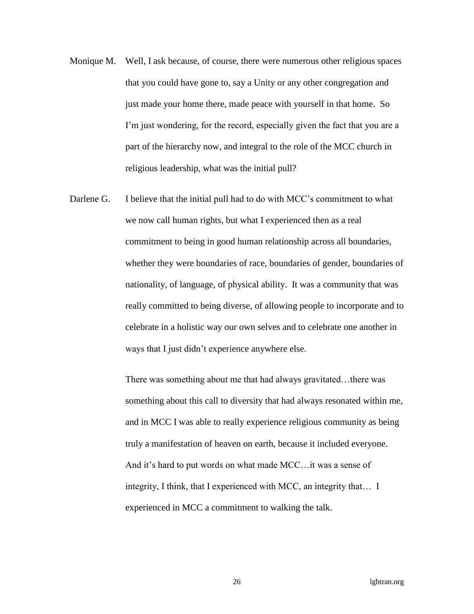- Monique M. Well, I ask because, of course, there were numerous other religious spaces that you could have gone to, say a Unity or any other congregation and just made your home there, made peace with yourself in that home. So I'm just wondering, for the record, especially given the fact that you are a part of the hierarchy now, and integral to the role of the MCC church in religious leadership, what was the initial pull?
- Darlene G. I believe that the initial pull had to do with MCC's commitment to what we now call human rights, but what I experienced then as a real commitment to being in good human relationship across all boundaries, whether they were boundaries of race, boundaries of gender, boundaries of nationality, of language, of physical ability. It was a community that was really committed to being diverse, of allowing people to incorporate and to celebrate in a holistic way our own selves and to celebrate one another in ways that I just didn't experience anywhere else.

There was something about me that had always gravitated…there was something about this call to diversity that had always resonated within me, and in MCC I was able to really experience religious community as being truly a manifestation of heaven on earth, because it included everyone. And it's hard to put words on what made MCC…it was a sense of integrity, I think, that I experienced with MCC, an integrity that… I experienced in MCC a commitment to walking the talk.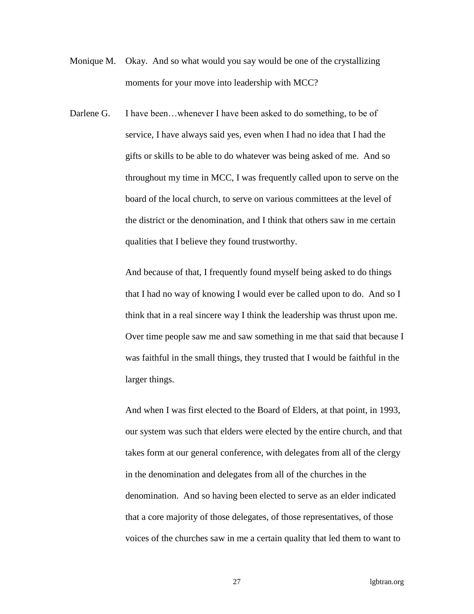- Monique M. Okay. And so what would you say would be one of the crystallizing moments for your move into leadership with MCC?
- Darlene G. I have been...whenever I have been asked to do something, to be of service, I have always said yes, even when I had no idea that I had the gifts or skills to be able to do whatever was being asked of me. And so throughout my time in MCC, I was frequently called upon to serve on the board of the local church, to serve on various committees at the level of the district or the denomination, and I think that others saw in me certain qualities that I believe they found trustworthy.

And because of that, I frequently found myself being asked to do things that I had no way of knowing I would ever be called upon to do. And so I think that in a real sincere way I think the leadership was thrust upon me. Over time people saw me and saw something in me that said that because I was faithful in the small things, they trusted that I would be faithful in the larger things.

And when I was first elected to the Board of Elders, at that point, in 1993, our system was such that elders were elected by the entire church, and that takes form at our general conference, with delegates from all of the clergy in the denomination and delegates from all of the churches in the denomination. And so having been elected to serve as an elder indicated that a core majority of those delegates, of those representatives, of those voices of the churches saw in me a certain quality that led them to want to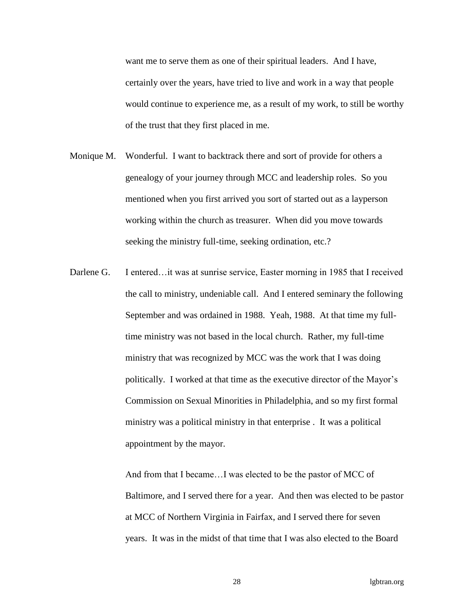want me to serve them as one of their spiritual leaders. And I have, certainly over the years, have tried to live and work in a way that people would continue to experience me, as a result of my work, to still be worthy of the trust that they first placed in me.

- Monique M. Wonderful. I want to backtrack there and sort of provide for others a genealogy of your journey through MCC and leadership roles. So you mentioned when you first arrived you sort of started out as a layperson working within the church as treasurer. When did you move towards seeking the ministry full-time, seeking ordination, etc.?
- Darlene G. I entered... it was at sunrise service, Easter morning in 1985 that I received the call to ministry, undeniable call. And I entered seminary the following September and was ordained in 1988. Yeah, 1988. At that time my fulltime ministry was not based in the local church. Rather, my full-time ministry that was recognized by MCC was the work that I was doing politically. I worked at that time as the executive director of the Mayor's Commission on Sexual Minorities in Philadelphia, and so my first formal ministry was a political ministry in that enterprise . It was a political appointment by the mayor.

And from that I became…I was elected to be the pastor of MCC of Baltimore, and I served there for a year. And then was elected to be pastor at MCC of Northern Virginia in Fairfax, and I served there for seven years. It was in the midst of that time that I was also elected to the Board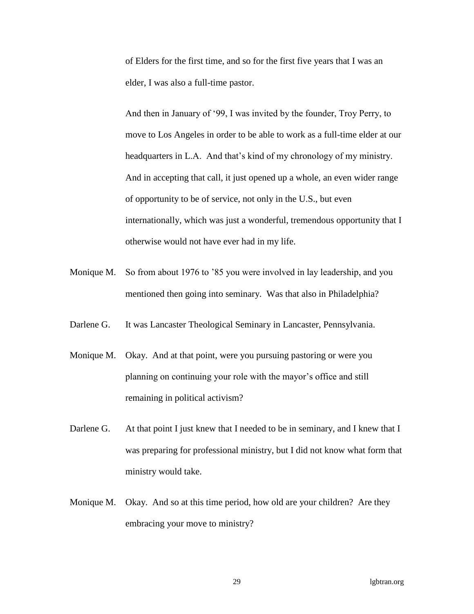of Elders for the first time, and so for the first five years that I was an elder, I was also a full-time pastor.

And then in January of '99, I was invited by the founder, Troy Perry, to move to Los Angeles in order to be able to work as a full-time elder at our headquarters in L.A. And that's kind of my chronology of my ministry. And in accepting that call, it just opened up a whole, an even wider range of opportunity to be of service, not only in the U.S., but even internationally, which was just a wonderful, tremendous opportunity that I otherwise would not have ever had in my life.

- Monique M. So from about 1976 to '85 you were involved in lay leadership, and you mentioned then going into seminary. Was that also in Philadelphia?
- Darlene G. It was Lancaster Theological Seminary in Lancaster, Pennsylvania.
- Monique M. Okay. And at that point, were you pursuing pastoring or were you planning on continuing your role with the mayor's office and still remaining in political activism?
- Darlene G. At that point I just knew that I needed to be in seminary, and I knew that I was preparing for professional ministry, but I did not know what form that ministry would take.
- Monique M. Okay. And so at this time period, how old are your children? Are they embracing your move to ministry?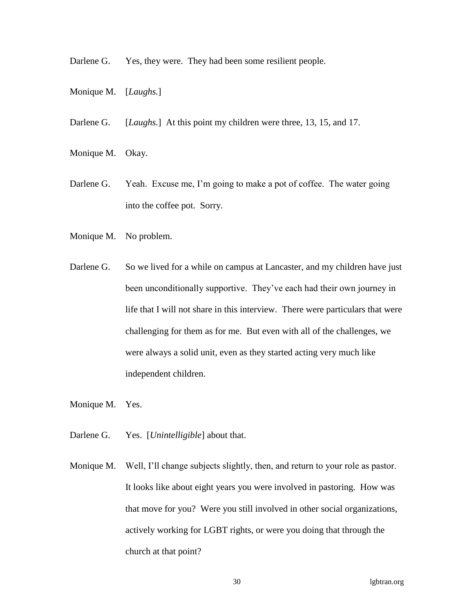Darlene G. Yes, they were. They had been some resilient people.

- Monique M. [*Laughs.*]
- Darlene G. [*Laughs.*] At this point my children were three, 13, 15, and 17.
- Monique M. Okay.
- Darlene G. Yeah. Excuse me, I'm going to make a pot of coffee. The water going into the coffee pot. Sorry.
- Monique M. No problem.
- Darlene G. So we lived for a while on campus at Lancaster, and my children have just been unconditionally supportive. They've each had their own journey in life that I will not share in this interview. There were particulars that were challenging for them as for me. But even with all of the challenges, we were always a solid unit, even as they started acting very much like independent children.
- Monique M. Yes.
- Darlene G. Yes. [*Unintelligible*] about that.
- Monique M. Well, I'll change subjects slightly, then, and return to your role as pastor. It looks like about eight years you were involved in pastoring. How was that move for you? Were you still involved in other social organizations, actively working for LGBT rights, or were you doing that through the church at that point?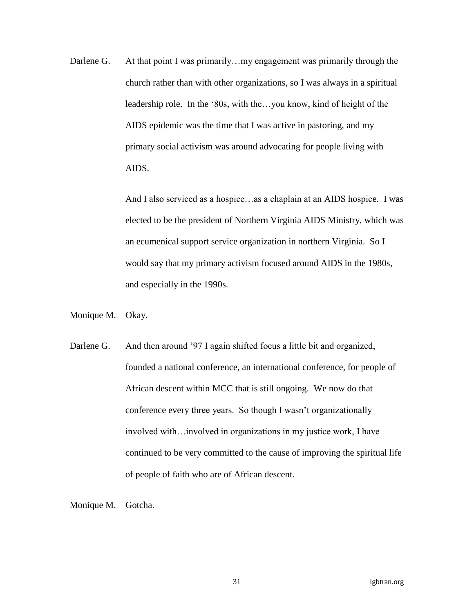Darlene G. At that point I was primarily... my engagement was primarily through the church rather than with other organizations, so I was always in a spiritual leadership role. In the '80s, with the...you know, kind of height of the AIDS epidemic was the time that I was active in pastoring, and my primary social activism was around advocating for people living with AIDS.

> And I also serviced as a hospice…as a chaplain at an AIDS hospice. I was elected to be the president of Northern Virginia AIDS Ministry, which was an ecumenical support service organization in northern Virginia. So I would say that my primary activism focused around AIDS in the 1980s, and especially in the 1990s.

- Monique M. Okay.
- Darlene G. And then around '97 I again shifted focus a little bit and organized, founded a national conference, an international conference, for people of African descent within MCC that is still ongoing. We now do that conference every three years. So though I wasn't organizationally involved with…involved in organizations in my justice work, I have continued to be very committed to the cause of improving the spiritual life of people of faith who are of African descent.

Monique M. Gotcha.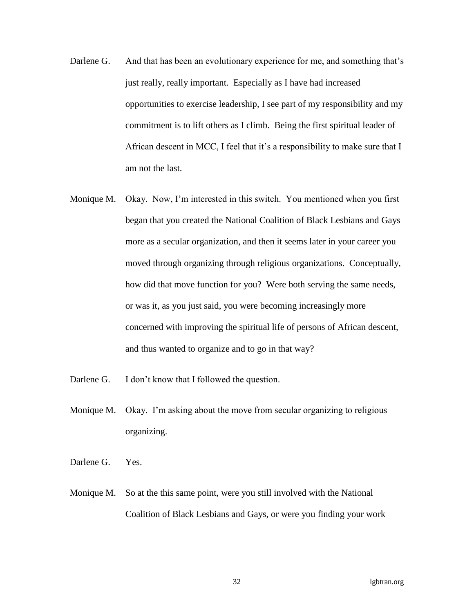- Darlene G. And that has been an evolutionary experience for me, and something that's just really, really important. Especially as I have had increased opportunities to exercise leadership, I see part of my responsibility and my commitment is to lift others as I climb. Being the first spiritual leader of African descent in MCC, I feel that it's a responsibility to make sure that I am not the last.
- Monique M. Okay. Now, I'm interested in this switch. You mentioned when you first began that you created the National Coalition of Black Lesbians and Gays more as a secular organization, and then it seems later in your career you moved through organizing through religious organizations. Conceptually, how did that move function for you? Were both serving the same needs, or was it, as you just said, you were becoming increasingly more concerned with improving the spiritual life of persons of African descent, and thus wanted to organize and to go in that way?
- Darlene G. I don't know that I followed the question.
- Monique M. Okay. I'm asking about the move from secular organizing to religious organizing.
- Darlene G. Yes.
- Monique M. So at the this same point, were you still involved with the National Coalition of Black Lesbians and Gays, or were you finding your work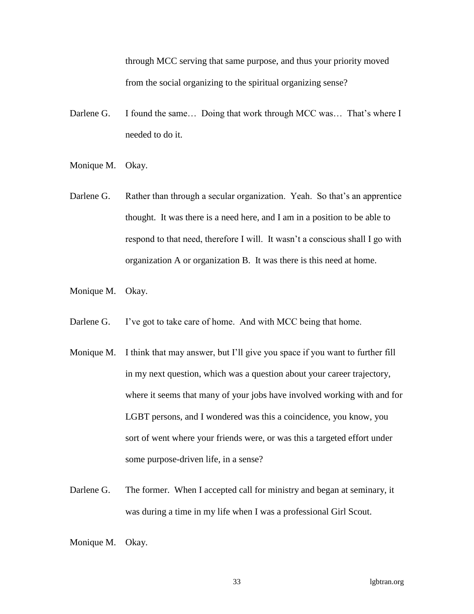through MCC serving that same purpose, and thus your priority moved from the social organizing to the spiritual organizing sense?

- Darlene G. I found the same... Doing that work through MCC was... That's where I needed to do it.
- Monique M. Okay.
- Darlene G. Rather than through a secular organization. Yeah. So that's an apprentice thought. It was there is a need here, and I am in a position to be able to respond to that need, therefore I will. It wasn't a conscious shall I go with organization A or organization B. It was there is this need at home.
- Monique M. Okay.
- Darlene G. I've got to take care of home. And with MCC being that home.
- Monique M. I think that may answer, but I'll give you space if you want to further fill in my next question, which was a question about your career trajectory, where it seems that many of your jobs have involved working with and for LGBT persons, and I wondered was this a coincidence, you know, you sort of went where your friends were, or was this a targeted effort under some purpose-driven life, in a sense?
- Darlene G. The former. When I accepted call for ministry and began at seminary, it was during a time in my life when I was a professional Girl Scout.
- Monique M. Okay.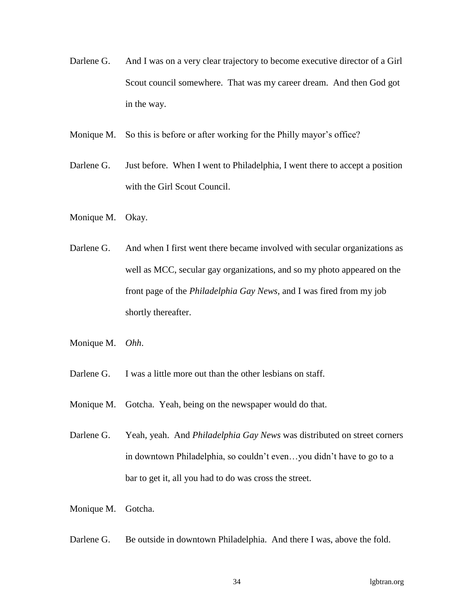- Darlene G. And I was on a very clear trajectory to become executive director of a Girl Scout council somewhere. That was my career dream. And then God got in the way.
- Monique M. So this is before or after working for the Philly mayor's office?
- Darlene G. Just before. When I went to Philadelphia, I went there to accept a position with the Girl Scout Council.
- Monique M. Okay.
- Darlene G. And when I first went there became involved with secular organizations as well as MCC, secular gay organizations, and so my photo appeared on the front page of the *Philadelphia Gay News*, and I was fired from my job shortly thereafter.
- Monique M. *Ohh*.
- Darlene G. I was a little more out than the other lesbians on staff.
- Monique M. Gotcha. Yeah, being on the newspaper would do that.
- Darlene G. Yeah, yeah. And *Philadelphia Gay News* was distributed on street corners in downtown Philadelphia, so couldn't even…you didn't have to go to a bar to get it, all you had to do was cross the street.
- Monique M. Gotcha.
- Darlene G. Be outside in downtown Philadelphia. And there I was, above the fold.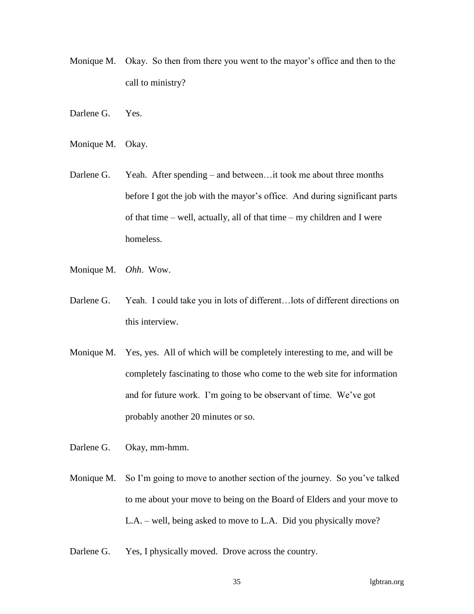- Monique M. Okay. So then from there you went to the mayor's office and then to the call to ministry?
- Darlene G. Yes.
- Monique M. Okay.
- Darlene G. Yeah. After spending and between... it took me about three months before I got the job with the mayor's office. And during significant parts of that time – well, actually, all of that time – my children and I were homeless.
- Monique M. *Ohh*. Wow.
- Darlene G. Yeah. I could take you in lots of different... lots of different directions on this interview.
- Monique M. Yes, yes. All of which will be completely interesting to me, and will be completely fascinating to those who come to the web site for information and for future work. I'm going to be observant of time. We've got probably another 20 minutes or so.
- Darlene G. Okay, mm-hmm.
- Monique M. So I'm going to move to another section of the journey. So you've talked to me about your move to being on the Board of Elders and your move to L.A. – well, being asked to move to L.A. Did you physically move?
- Darlene G. Yes, I physically moved. Drove across the country.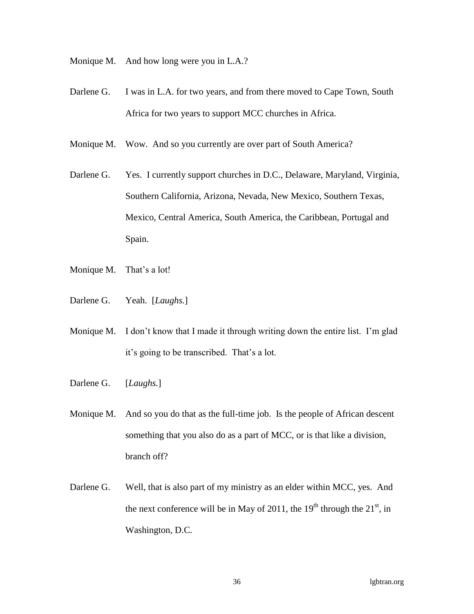Monique M. And how long were you in L.A.?

- Darlene G. I was in L.A. for two years, and from there moved to Cape Town, South Africa for two years to support MCC churches in Africa.
- Monique M. Wow. And so you currently are over part of South America?
- Darlene G. Yes. I currently support churches in D.C., Delaware, Maryland, Virginia, Southern California, Arizona, Nevada, New Mexico, Southern Texas, Mexico, Central America, South America, the Caribbean, Portugal and Spain.
- Monique M. That's a lot!
- Darlene G. Yeah. [*Laughs.*]
- Monique M. I don't know that I made it through writing down the entire list. I'm glad it's going to be transcribed. That's a lot.
- Darlene G. [*Laughs.*]
- Monique M. And so you do that as the full-time job. Is the people of African descent something that you also do as a part of MCC, or is that like a division, branch off?
- Darlene G. Well, that is also part of my ministry as an elder within MCC, yes. And the next conference will be in May of 2011, the  $19<sup>th</sup>$  through the  $21<sup>st</sup>$ , in Washington, D.C.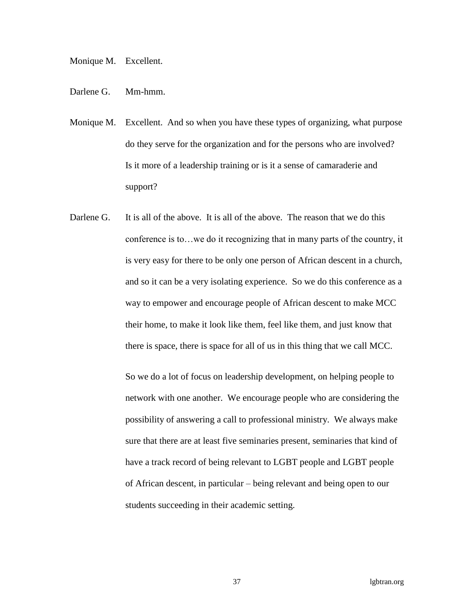## Monique M. Excellent.

- Darlene G. Mm-hmm.
- Monique M. Excellent. And so when you have these types of organizing, what purpose do they serve for the organization and for the persons who are involved? Is it more of a leadership training or is it a sense of camaraderie and support?
- Darlene G. It is all of the above. It is all of the above. The reason that we do this conference is to…we do it recognizing that in many parts of the country, it is very easy for there to be only one person of African descent in a church, and so it can be a very isolating experience. So we do this conference as a way to empower and encourage people of African descent to make MCC their home, to make it look like them, feel like them, and just know that there is space, there is space for all of us in this thing that we call MCC.

So we do a lot of focus on leadership development, on helping people to network with one another. We encourage people who are considering the possibility of answering a call to professional ministry. We always make sure that there are at least five seminaries present, seminaries that kind of have a track record of being relevant to LGBT people and LGBT people of African descent, in particular – being relevant and being open to our students succeeding in their academic setting.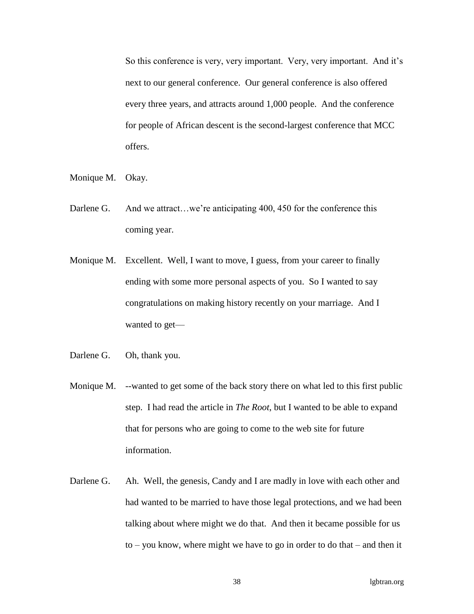So this conference is very, very important. Very, very important. And it's next to our general conference. Our general conference is also offered every three years, and attracts around 1,000 people. And the conference for people of African descent is the second-largest conference that MCC offers.

- Monique M. Okay.
- Darlene G. And we attract...we're anticipating 400, 450 for the conference this coming year.
- Monique M. Excellent. Well, I want to move, I guess, from your career to finally ending with some more personal aspects of you. So I wanted to say congratulations on making history recently on your marriage. And I wanted to get—
- Darlene G. Oh, thank you.
- Monique M. --wanted to get some of the back story there on what led to this first public step. I had read the article in *The Root*, but I wanted to be able to expand that for persons who are going to come to the web site for future information.
- Darlene G. Ah. Well, the genesis, Candy and I are madly in love with each other and had wanted to be married to have those legal protections, and we had been talking about where might we do that. And then it became possible for us to – you know, where might we have to go in order to do that – and then it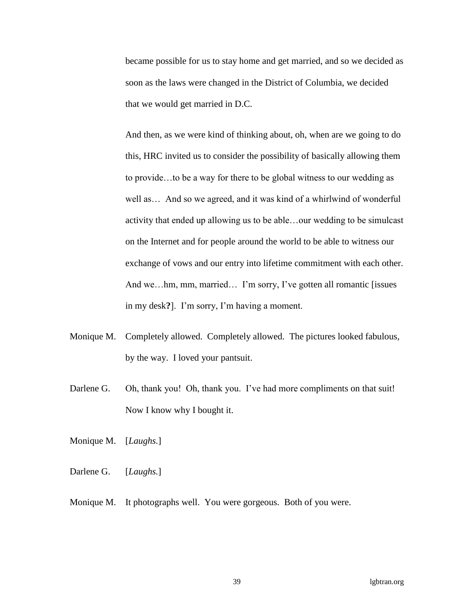became possible for us to stay home and get married, and so we decided as soon as the laws were changed in the District of Columbia, we decided that we would get married in D.C.

And then, as we were kind of thinking about, oh, when are we going to do this, HRC invited us to consider the possibility of basically allowing them to provide…to be a way for there to be global witness to our wedding as well as… And so we agreed, and it was kind of a whirlwind of wonderful activity that ended up allowing us to be able…our wedding to be simulcast on the Internet and for people around the world to be able to witness our exchange of vows and our entry into lifetime commitment with each other. And we…hm, mm, married… I'm sorry, I've gotten all romantic [issues] in my desk**?**]. I'm sorry, I'm having a moment.

- Monique M. Completely allowed. Completely allowed. The pictures looked fabulous, by the way. I loved your pantsuit.
- Darlene G. Oh, thank you! Oh, thank you. I've had more compliments on that suit! Now I know why I bought it.
- Monique M. [*Laughs.*]
- Darlene G. [*Laughs.*]
- Monique M. It photographs well. You were gorgeous. Both of you were.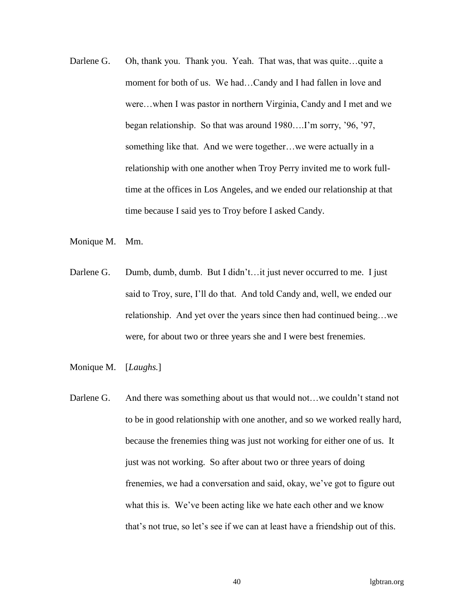- Darlene G. Oh, thank you. Thank you. Yeah. That was, that was quite...quite a moment for both of us. We had…Candy and I had fallen in love and were…when I was pastor in northern Virginia, Candy and I met and we began relationship. So that was around 1980….I'm sorry, '96, '97, something like that. And we were together…we were actually in a relationship with one another when Troy Perry invited me to work fulltime at the offices in Los Angeles, and we ended our relationship at that time because I said yes to Troy before I asked Candy.
- Monique M. Mm.
- Darlene G. Dumb, dumb, dumb. But I didn't...it just never occurred to me. I just said to Troy, sure, I'll do that. And told Candy and, well, we ended our relationship. And yet over the years since then had continued being…we were, for about two or three years she and I were best frenemies.
- Monique M. [*Laughs.*]
- Darlene G. And there was something about us that would not...we couldn't stand not to be in good relationship with one another, and so we worked really hard, because the frenemies thing was just not working for either one of us. It just was not working. So after about two or three years of doing frenemies, we had a conversation and said, okay, we've got to figure out what this is. We've been acting like we hate each other and we know that's not true, so let's see if we can at least have a friendship out of this.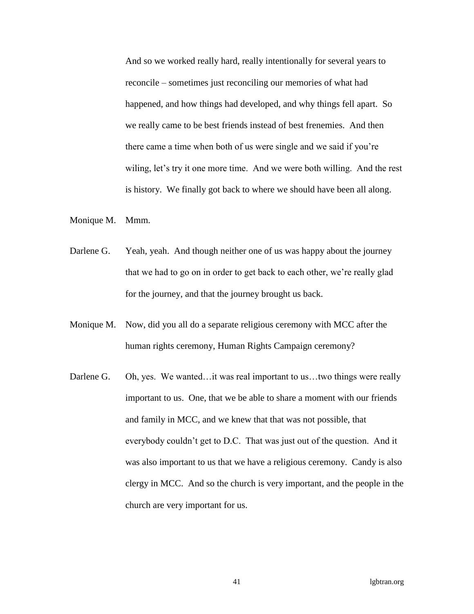And so we worked really hard, really intentionally for several years to reconcile – sometimes just reconciling our memories of what had happened, and how things had developed, and why things fell apart. So we really came to be best friends instead of best frenemies. And then there came a time when both of us were single and we said if you're wiling, let's try it one more time. And we were both willing. And the rest is history. We finally got back to where we should have been all along.

Monique M. Mmm.

- Darlene G. Yeah, yeah. And though neither one of us was happy about the journey that we had to go on in order to get back to each other, we're really glad for the journey, and that the journey brought us back.
- Monique M. Now, did you all do a separate religious ceremony with MCC after the human rights ceremony, Human Rights Campaign ceremony?
- Darlene G. Oh, yes. We wanted…it was real important to us…two things were really important to us. One, that we be able to share a moment with our friends and family in MCC, and we knew that that was not possible, that everybody couldn't get to D.C. That was just out of the question. And it was also important to us that we have a religious ceremony. Candy is also clergy in MCC. And so the church is very important, and the people in the church are very important for us.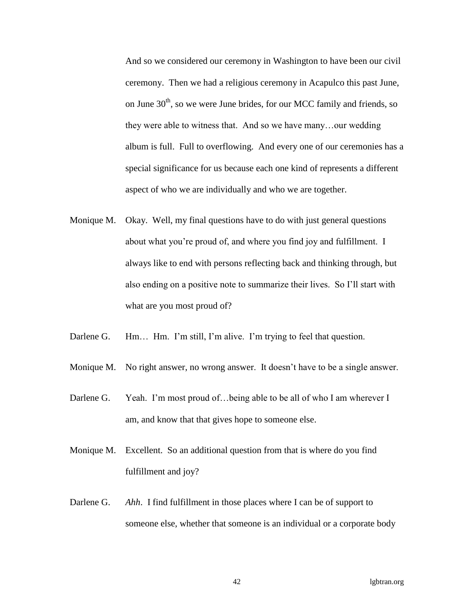And so we considered our ceremony in Washington to have been our civil ceremony. Then we had a religious ceremony in Acapulco this past June, on June  $30<sup>th</sup>$ , so we were June brides, for our MCC family and friends, so they were able to witness that. And so we have many…our wedding album is full. Full to overflowing. And every one of our ceremonies has a special significance for us because each one kind of represents a different aspect of who we are individually and who we are together.

- Monique M. Okay. Well, my final questions have to do with just general questions about what you're proud of, and where you find joy and fulfillment. I always like to end with persons reflecting back and thinking through, but also ending on a positive note to summarize their lives. So I'll start with what are you most proud of?
- Darlene G. Hm... Hm. I'm still, I'm alive. I'm trying to feel that question.
- Monique M. No right answer, no wrong answer. It doesn't have to be a single answer.
- Darlene G. Yeah. I'm most proud of...being able to be all of who I am wherever I am, and know that that gives hope to someone else.
- Monique M. Excellent. So an additional question from that is where do you find fulfillment and joy?
- Darlene G. *Ahh.* I find fulfillment in those places where I can be of support to someone else, whether that someone is an individual or a corporate body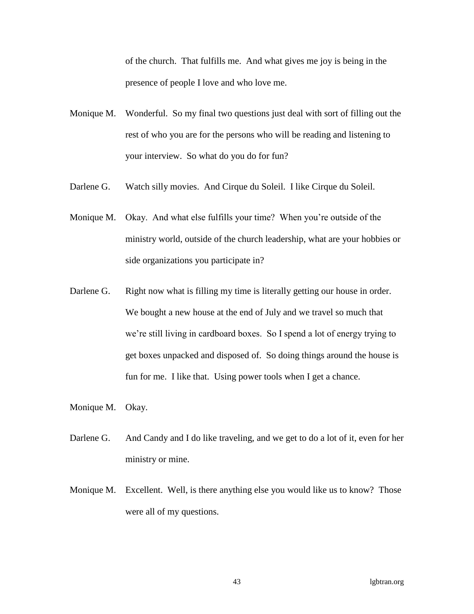of the church. That fulfills me. And what gives me joy is being in the presence of people I love and who love me.

- Monique M. Wonderful. So my final two questions just deal with sort of filling out the rest of who you are for the persons who will be reading and listening to your interview. So what do you do for fun?
- Darlene G. Watch silly movies. And Cirque du Soleil. I like Cirque du Soleil.
- Monique M. Okay. And what else fulfills your time? When you're outside of the ministry world, outside of the church leadership, what are your hobbies or side organizations you participate in?
- Darlene G. Right now what is filling my time is literally getting our house in order. We bought a new house at the end of July and we travel so much that we're still living in cardboard boxes. So I spend a lot of energy trying to get boxes unpacked and disposed of. So doing things around the house is fun for me. I like that. Using power tools when I get a chance.
- Monique M. Okay.
- Darlene G. And Candy and I do like traveling, and we get to do a lot of it, even for her ministry or mine.
- Monique M. Excellent. Well, is there anything else you would like us to know? Those were all of my questions.